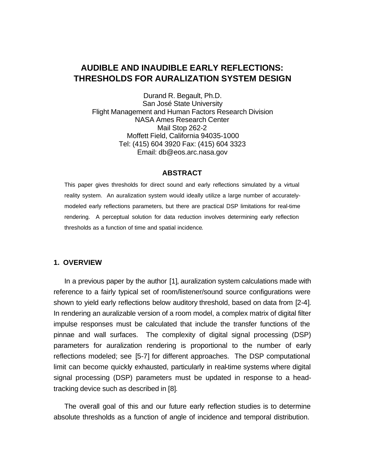# **AUDIBLE AND INAUDIBLE EARLY REFLECTIONS: THRESHOLDS FOR AURALIZATION SYSTEM DESIGN**

Durand R. Begault, Ph.D. San José State University Flight Management and Human Factors Research Division NASA Ames Research Center Mail Stop 262-2 Moffett Field, California 94035-1000 Tel: (415) 604 3920 Fax: (415) 604 3323 Email: db@eos.arc.nasa.gov

#### **ABSTRACT**

This paper gives thresholds for direct sound and early reflections simulated by a virtual reality system. An auralization system would ideally utilize a large number of accuratelymodeled early reflections parameters, but there are practical DSP limitations for real-time rendering. A perceptual solution for data reduction involves determining early reflection thresholds as a function of time and spatial incidence.

### **1. OVERVIEW**

In a previous paper by the author [1], auralization system calculations made with reference to a fairly typical set of room/listener/sound source configurations were shown to yield early reflections below auditory threshold, based on data from [2-4]. In rendering an auralizable version of a room model, a complex matrix of digital filter impulse responses must be calculated that include the transfer functions of the pinnae and wall surfaces. The complexity of digital signal processing (DSP) parameters for auralization rendering is proportional to the number of early reflections modeled; see [5-7] for different approaches. The DSP computational limit can become quickly exhausted, particularly in real-time systems where digital signal processing (DSP) parameters must be updated in response to a headtracking device such as described in [8].

The overall goal of this and our future early reflection studies is to determine absolute thresholds as a function of angle of incidence and temporal distribution.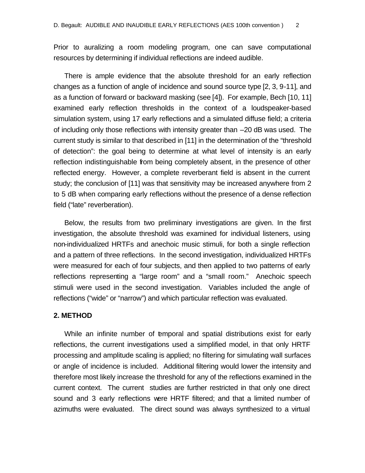Prior to auralizing a room modeling program, one can save computational resources by determining if individual reflections are indeed audible.

There is ample evidence that the absolute threshold for an early reflection changes as a function of angle of incidence and sound source type [2, 3, 9-11], and as a function of forward or backward masking (see [4]). For example, Bech [10, 11] examined early reflection thresholds in the context of a loudspeaker-based simulation system, using 17 early reflections and a simulated diffuse field; a criteria of including only those reflections with intensity greater than –20 dB was used. The current study is similar to that described in [11] in the determination of the "threshold of detection": the goal being to determine at what level of intensity is an early reflection indistinguishable from being completely absent, in the presence of other reflected energy. However, a complete reverberant field is absent in the current study; the conclusion of [11] was that sensitivity may be increased anywhere from 2 to 5 dB when comparing early reflections without the presence of a dense reflection field ("late" reverberation).

Below, the results from two preliminary investigations are given. In the first investigation, the absolute threshold was examined for individual listeners, using non-individualized HRTFs and anechoic music stimuli, for both a single reflection and a pattern of three reflections. In the second investigation, individualized HRTFs were measured for each of four subjects, and then applied to two patterns of early reflections representing a "large room" and a "small room." Anechoic speech stimuli were used in the second investigation. Variables included the angle of reflections ("wide" or "narrow") and which particular reflection was evaluated.

#### **2. METHOD**

While an infinite number of emporal and spatial distributions exist for early reflections, the current investigations used a simplified model, in that only HRTF processing and amplitude scaling is applied; no filtering for simulating wall surfaces or angle of incidence is included. Additional filtering would lower the intensity and therefore most likely increase the threshold for any of the reflections examined in the current context. The current studies are further restricted in that only one direct sound and 3 early reflections were HRTF filtered; and that a limited number of azimuths were evaluated. The direct sound was always synthesized to a virtual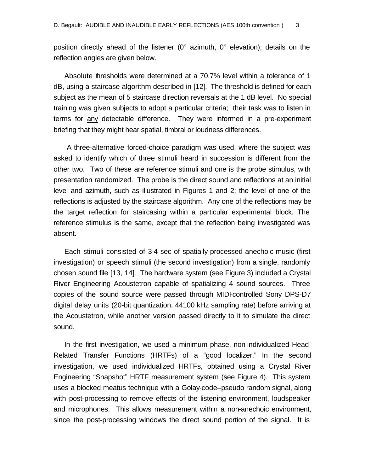position directly ahead of the listener (0° azimuth, 0° elevation); details on the reflection angles are given below.

Absolute thresholds were determined at a 70.7% level within a tolerance of 1 dB, using a staircase algorithm described in [12]. The threshold is defined for each subject as the mean of 5 staircase direction reversals at the 1 dB level. No special training was given subjects to adopt a particular criteria; their task was to listen in terms for any detectable difference. They were informed in a pre-experiment briefing that they might hear spatial, timbral or loudness differences.

 A three-alternative forced-choice paradigm was used, where the subject was asked to identify which of three stimuli heard in succession is different from the other two. Two of these are reference stimuli and one is the probe stimulus, with presentation randomized.The probe is the direct sound and reflections at an initial level and azimuth, such as illustrated in Figures 1 and 2; the level of one of the reflections is adjusted by the staircase algorithm. Any one of the reflections may be the target reflection for staircasing within a particular experimental block. The reference stimulus is the same, except that the reflection being investigated was absent.

Each stimuli consisted of 3-4 sec of spatially-processed anechoic music (first investigation) or speech stimuli (the second investigation) from a single, randomly chosen sound file [13, 14]. The hardware system (see Figure 3) included a Crystal River Engineering Acoustetron capable of spatializing 4 sound sources. Three copies of the sound source were passed through MIDI-controlled Sony DPS-D7 digital delay units (20-bit quantization, 44100 kHz sampling rate) before arriving at the Acoustetron, while another version passed directly to it to simulate the direct sound.

In the first investigation, we used a minimum-phase, non-individualized Head-Related Transfer Functions (HRTFs) of a "good localizer." In the second investigation, we used individualized HRTFs, obtained using a Crystal River Engineering "Snapshot" HRTF measurement system (see Figure 4). This system uses a blocked meatus technique with a Golay-code–pseudo random signal, along with post-processing to remove effects of the listening environment, loudspeaker and microphones. This allows measurement within a non-anechoic environment, since the post-processing windows the direct sound portion of the signal. It is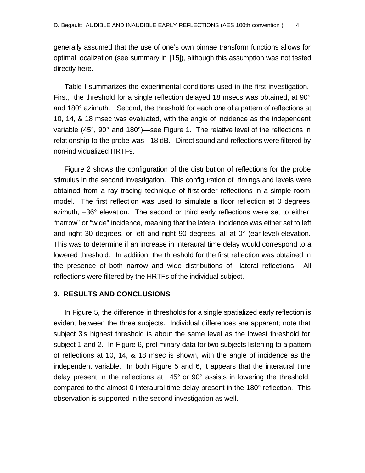generally assumed that the use of one's own pinnae transform functions allows for optimal localization (see summary in [15]), although this assumption was not tested directly here.

Table I summarizes the experimental conditions used in the first investigation. First, the threshold for a single reflection delayed 18 msecs was obtained, at 90° and 180° azimuth. Second, the threshold for each one of a pattern of reflections at 10, 14, & 18 msec was evaluated, with the angle of incidence as the independent variable (45°, 90° and 180°)—see Figure 1. The relative level of the reflections in relationship to the probe was –18 dB. Direct sound and reflections were filtered by non-individualized HRTFs.

Figure 2 shows the configuration of the distribution of reflections for the probe stimulus in the second investigation. This configuration of timings and levels were obtained from a ray tracing technique of first-order reflections in a simple room model. The first reflection was used to simulate a floor reflection at 0 degrees azimuth, –36° elevation. The second or third early reflections were set to either "narrow" or "wide" incidence, meaning that the lateral incidence was either set to left and right 30 degrees, or left and right 90 degrees, all at 0° (ear-level) elevation. This was to determine if an increase in interaural time delay would correspond to a lowered threshold. In addition, the threshold for the first reflection was obtained in the presence of both narrow and wide distributions of lateral reflections. All reflections were filtered by the HRTFs of the individual subject.

### **3. RESULTS AND CONCLUSIONS**

In Figure 5, the difference in thresholds for a single spatialized early reflection is evident between the three subjects. Individual differences are apparent; note that subject 3's highest threshold is about the same level as the lowest threshold for subject 1 and 2. In Figure 6, preliminary data for two subjects listening to a pattern of reflections at 10, 14, & 18 msec is shown, with the angle of incidence as the independent variable. In both Figure 5 and 6, it appears that the interaural time delay present in the reflections at 45° or 90° assists in lowering the threshold, compared to the almost 0 interaural time delay present in the 180° reflection. This observation is supported in the second investigation as well.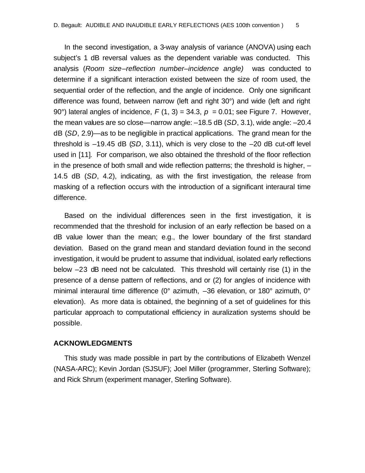In the second investigation, a 3-way analysis of variance (ANOVA) using each subject's 1 dB reversal values as the dependent variable was conducted. This analysis (*Room size–reflection number–incidence angle)* was conducted to determine if a significant interaction existed between the size of room used, the sequential order of the reflection, and the angle of incidence. Only one significant difference was found, between narrow (left and right 30°) and wide (left and right 90°) lateral angles of incidence,  $F(1, 3) = 34.3$ ,  $p = 0.01$ ; see Figure 7. However, the mean values are so close—narrow angle: –18.5 dB (*SD*, 3.1), wide angle: –20.4 dB (*SD*, 2.9)—as to be negligible in practical applications. The grand mean for the threshold is –19.45 dB (*SD*, 3.11), which is very close to the –20 dB cut-off level used in [11]. For comparison, we also obtained the threshold of the floor reflection in the presence of both small and wide reflection patterns; the threshold is higher, – 14.5 dB (*SD*, 4.2), indicating, as with the first investigation, the release from masking of a reflection occurs with the introduction of a significant interaural time difference.

Based on the individual differences seen in the first investigation, it is recommended that the threshold for inclusion of an early reflection be based on a dB value lower than the mean; e.g., the lower boundary of the first standard deviation. Based on the grand mean and standard deviation found in the second investigation, it would be prudent to assume that individual, isolated early reflections below –23 dB need not be calculated. This threshold will certainly rise (1) in the presence of a dense pattern of reflections, and or (2) for angles of incidence with minimal interaural time difference (0° azimuth, –36 elevation, or 180° azimuth, 0° elevation). As more data is obtained, the beginning of a set of guidelines for this particular approach to computational efficiency in auralization systems should be possible.

#### **ACKNOWLEDGMENTS**

This study was made possible in part by the contributions of Elizabeth Wenzel (NASA-ARC); Kevin Jordan (SJSUF); Joel Miller (programmer, Sterling Software); and Rick Shrum (experiment manager, Sterling Software).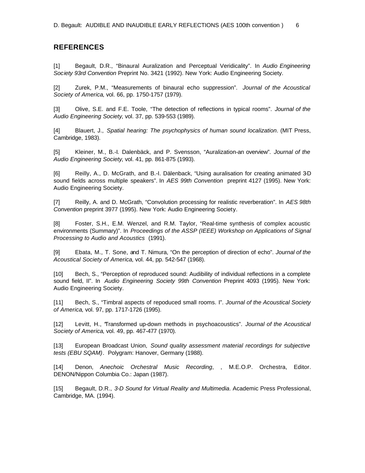## **REFERENCES**

[1] Begault, D.R., "Binaural Auralization and Perceptual Veridicality". In *Audio Engineering Society 93rd Convention* Preprint No. 3421 (1992). New York: Audio Engineering Society.

[2] Zurek, P.M., "Measurements of binaural echo suppression". *Journal of the Acoustical Society of America*, vol. 66, pp. 1750-1757 (1979).

[3] Olive, S.E. and F.E. Toole, "The detection of reflections in typical rooms". *Journal of the Audio Engineering Society*, vol. 37, pp. 539-553 (1989).

[4] Blauert, J., *Spatial hearing: The psychophysics of human sound localization*. (MIT Press, Cambridge, 1983).

[5] Kleiner, M., B.-I. Dalenbäck, and P. Svensson, "Auralization-an overview". *Journal of the Audio Engineering Society*, vol. 41, pp. 861-875 (1993).

[6] Reilly, A., D. McGrath, and B.-I. Dälenback, "Using auralisation for creating animated 3-D sound fields across multiple speakers". In *AES 99th Convention* preprint 4127 (1995). New York: Audio Engineering Society.

[7] Reilly, A. and D. McGrath, "Convolution processing for realistic reverberation". In *AES 98th Convention* preprint 3977 (1995). New York: Audio Engineering Society.

[8] Foster, S.H., E.M. Wenzel, and R.M. Taylor, "Real-time synthesis of complex acoustic environments (Summary)". In *Proceedings of the ASSP (IEEE) Workshop on Applications of Signal Processing to Audio and Acoustics* (1991).

[9] Ebata, M., T. Sone, and T. Nimura, "On the perception of direction of echo". *Journal of the Acoustical Society of America*, vol. 44, pp. 542-547 (1968).

[10] Bech, S., "Perception of reproduced sound: Audibility of individual reflections in a complete sound field, II". In *Audio Engineering Society 99th Convention* Preprint 4093 (1995). New York: Audio Engineering Society.

[11] Bech, S., "Timbral aspects of repoduced small rooms. I". *Journal of the Acoustical Society of America*, vol. 97, pp. 1717-1726 (1995).

[12] Levitt, H., "Transformed up-down methods in psychoacoustics". *Journal of the Acoustical Society of America*, vol. 49, pp. 467-477 (1970).

[13] European Broadcast Union, *Sound quality assessment material recordings for subjective tests (EBU SQAM)*. Polygram: Hanover, Germany (1988).

[14] Denon, *Anechoic Orchestral Music Recording*, , M.E.O.P. Orchestra, Editor. DENON/Nippon Columbia Co.: Japan (1987).

[15] Begault, D.R., *3-D Sound for Virtual Reality and Multimedia*. Academic Press Professional, Cambridge, MA. (1994).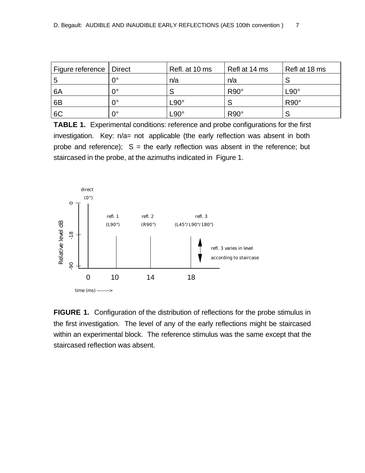| Figure reference   Direct |             | Refl. at 10 ms                  | Refl at 14 ms | Refl at 18 ms |
|---------------------------|-------------|---------------------------------|---------------|---------------|
|                           | 0°          | n/a                             | n/a           |               |
| 6A                        | $0^{\circ}$ |                                 | $R90^\circ$   | $L90^\circ$   |
| 6B                        | $0^{\circ}$ | L90°                            |               | $R90^\circ$   |
| 6C                        | $0^{\circ}$ | $\mathsf{\mathsf{L90}^{\circ}}$ | $R90^\circ$   |               |

**TABLE 1.** Experimental conditions: reference and probe configurations for the first investigation. Key: n/a= not applicable (the early reflection was absent in both probe and reference);  $S =$  the early reflection was absent in the reference; but staircased in the probe, at the azimuths indicated in Figure 1.



**FIGURE 1.** Configuration of the distribution of reflections for the probe stimulus in the first investigation. The level of any of the early reflections might be staircased within an experimental block. The reference stimulus was the same except that the staircased reflection was absent.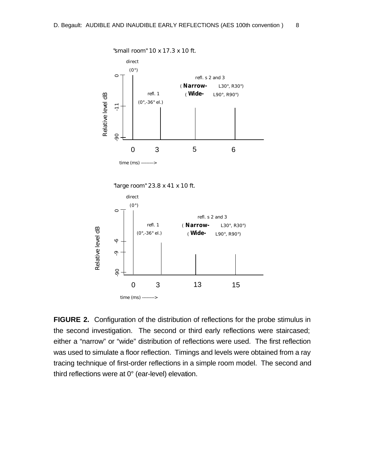

**FIGURE 2.** Configuration of the distribution of reflections for the probe stimulus in the second investigation. The second or third early reflections were staircased; either a "narrow" or "wide" distribution of reflections were used. The first reflection was used to simulate a floor reflection. Timings and levels were obtained from a ray tracing technique of first-order reflections in a simple room model. The second and third reflections were at 0° (ear-level) elevation.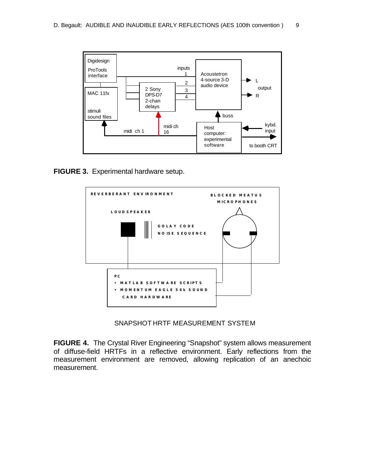

**FIGURE 3.** Experimental hardware setup.



SNAPSHOT HRTF MEASUREMENT SYSTEM

**FIGURE 4.** The Crystal River Engineering "Snapshot" system allows measurement of diffuse-field HRTFs in a reflective environment. Early reflections from the measurement environment are removed, allowing replication of an anechoic measurement.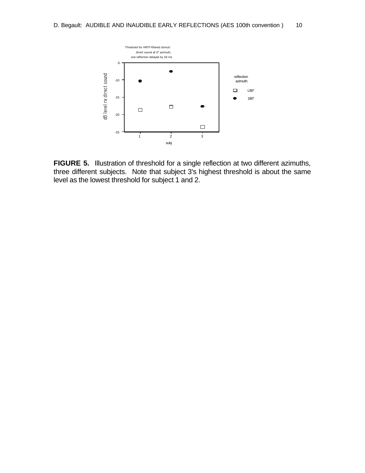

**FIGURE 5.** Illustration of threshold for a single reflection at two different azimuths, three different subjects. Note that subject 3's highest threshold is about the same level as the lowest threshold for subject 1 and 2.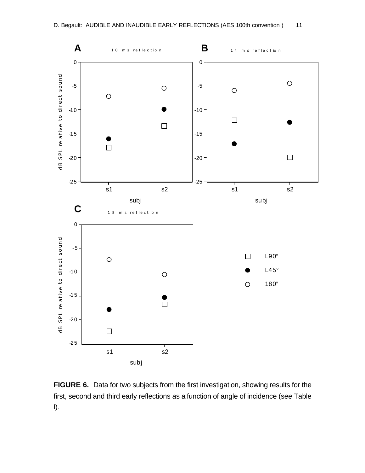

**FIGURE 6.** Data for two subjects from the first investigation, showing results for the first, second and third early reflections as a function of angle of incidence (see Table I).